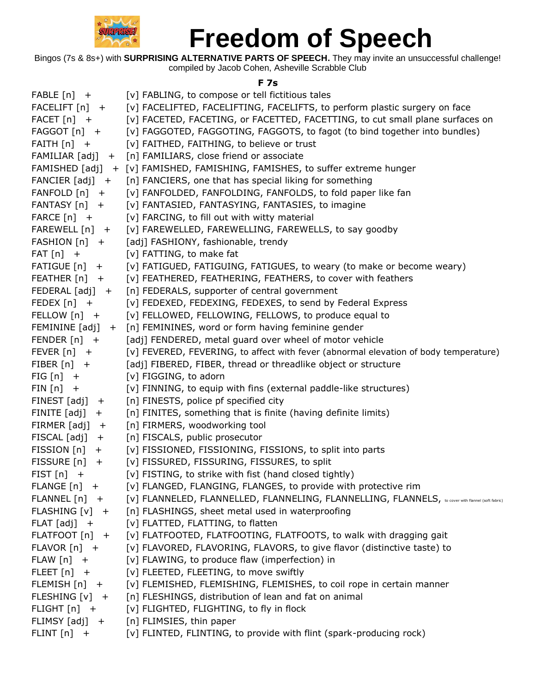

Bingos (7s & 8s+) with **SURPRISING ALTERNATIVE PARTS OF SPEECH.** They may invite an unsuccessful challenge! compiled by Jacob Cohen, Asheville Scrabble Club

#### **F 7s**

| ${FABLE[n]}$ +           | [v] FABLING, to compose or tell fictitious tales                                                 |
|--------------------------|--------------------------------------------------------------------------------------------------|
| $FACELIFT[n] +$          | [v] FACELIFTED, FACELIFTING, FACELIFTS, to perform plastic surgery on face                       |
| $FACET[n]$ +             | [v] FACETED, FACETING, or FACETTED, FACETTING, to cut small plane surfaces on                    |
| $FAGGOT[n]$ +            | [v] FAGGOTED, FAGGOTING, FAGGOTS, to fagot (to bind together into bundles)                       |
| $FAITH[n] +$             | [v] FAITHED, FAITHING, to believe or trust                                                       |
|                          | FAMILIAR [adj] + [n] FAMILIARS, close friend or associate                                        |
|                          | FAMISHED [adj] + [v] FAMISHED, FAMISHING, FAMISHES, to suffer extreme hunger                     |
|                          | FANCIER [adj] + [n] FANCIERS, one that has special liking for something                          |
| $FANFOLD[n] +$           | [v] FANFOLDED, FANFOLDING, FANFOLDS, to fold paper like fan                                      |
| $FANTASY[n] +$           | [v] FANTASIED, FANTASYING, FANTASIES, to imagine                                                 |
| $\mathsf{FARCE}$ $[n]$ + | [v] FARCING, to fill out with witty material                                                     |
| $FAREWELL[n] +$          | [v] FAREWELLED, FAREWELLING, FAREWELLS, to say goodby                                            |
| $FASTION [n] +$          | [adj] FASHIONY, fashionable, trendy                                                              |
| $FAT[n]$ +               | [v] FATTING, to make fat                                                                         |
| $FATIGUE[n] +$           | [v] FATIGUED, FATIGUING, FATIGUES, to weary (to make or become weary)                            |
| FEATHER [n] +            | [v] FEATHERED, FEATHERING, FEATHERS, to cover with feathers                                      |
| $FEDERAL [adj] +$        | [n] FEDERALS, supporter of central government                                                    |
| FEDEX $[n]$ +            | [v] FEDEXED, FEDEXING, FEDEXES, to send by Federal Express                                       |
| FELLOW [n] +             | [v] FELLOWED, FELLOWING, FELLOWS, to produce equal to                                            |
|                          | FEMININE [adj] + [n] FEMININES, word or form having feminine gender                              |
| FENDER $[n]$ +           | [adj] FENDERED, metal guard over wheel of motor vehicle                                          |
| $FEVER[n] +$             | [v] FEVERED, FEVERING, to affect with fever (abnormal elevation of body temperature)             |
| $FIBER[n] +$             | [adj] FIBERED, FIBER, thread or threadlike object or structure                                   |
| $FIG[n] +$               | [v] FIGGING, to adorn                                                                            |
| $FIN[n] +$               | [v] FINNING, to equip with fins (external paddle-like structures)                                |
| $FINEST [adj] +$         | [n] FINESTS, police pf specified city                                                            |
| FINITE $[adj] +$         | [n] FINITES, something that is finite (having definite limits)                                   |
| FIRMER $[adj] +$         | [n] FIRMERS, woodworking tool                                                                    |
| $FISCAL [adj] +$         | [n] FISCALS, public prosecutor                                                                   |
| $FISSION[n] +$           | [v] FISSIONED, FISSIONING, FISSIONS, to split into parts                                         |
| $FISSURE[n] +$           | [v] FISSURED, FISSURING, FISSURES, to split                                                      |
| FIST $[n]$ +             | [v] FISTING, to strike with fist (hand closed tightly)                                           |
| FLANGE $[n]$ +           | [v] FLANGED, FLANGING, FLANGES, to provide with protective rim                                   |
| $FLANNEL[n] +$           | [V] FLANNELED, FLANNELLED, FLANNELING, FLANNELLING, FLANNELS, becover with fiannel (soft fabric) |
| $FLASHING [v] +$         | [n] FLASHINGS, sheet metal used in waterproofing                                                 |
| $FLAT [adj] +$           | [v] FLATTED, FLATTING, to flatten                                                                |
| FLATFOOT [n] +           | [v] FLATFOOTED, FLATFOOTING, FLATFOOTS, to walk with dragging gait                               |
| $FLAVOR[n] +$            | [v] FLAVORED, FLAVORING, FLAVORS, to give flavor (distinctive taste) to                          |
| $FLAW[n] +$              | [v] FLAWING, to produce flaw (imperfection) in                                                   |
| $FLEET[n] +$             | [v] FLEETED, FLEETING, to move swiftly                                                           |
| $FLEMISH[n] +$           | [v] FLEMISHED, FLEMISHING, FLEMISHES, to coil rope in certain manner                             |
| FLESHING $[v]$ +         | [n] FLESHINGS, distribution of lean and fat on animal                                            |
| FLIGHT $[n]$ +           | [v] FLIGHTED, FLIGHTING, to fly in flock                                                         |
|                          | FLIMSY [adj] + [n] FLIMSIES, thin paper                                                          |
| $FLINT[n] +$             | [v] FLINTED, FLINTING, to provide with flint (spark-producing rock)                              |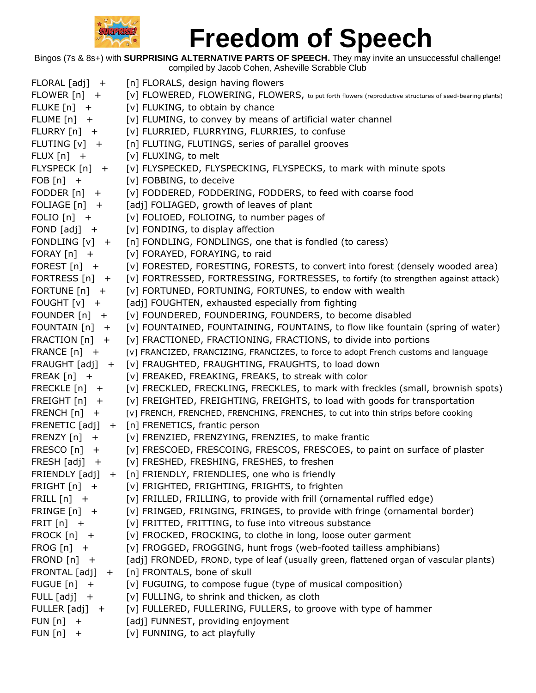

| $FLORAL [adj] +$   | [n] FLORALS, design having flowers                                                                      |
|--------------------|---------------------------------------------------------------------------------------------------------|
| FLOWER $[n]$ +     | [v] FLOWERED, FLOWERING, FLOWERS, to put forth flowers (reproductive structures of seed-bearing plants) |
| FLUKE $[n]$ +      | [v] FLUKING, to obtain by chance                                                                        |
| FLUME $[n]$ +      | [v] FLUMING, to convey by means of artificial water channel                                             |
| $FLURRY[n] +$      | [v] FLURRIED, FLURRYING, FLURRIES, to confuse                                                           |
| FLUTING [v] +      | [n] FLUTING, FLUTINGS, series of parallel grooves                                                       |
| $FLUX[n] +$        | [v] FLUXING, to melt                                                                                    |
| $FLYSPECK [n] +$   | [v] FLYSPECKED, FLYSPECKING, FLYSPECKS, to mark with minute spots                                       |
| FOB $[n]$ +        | [v] FOBBING, to deceive                                                                                 |
| FODDER $[n]$ +     | [v] FODDERED, FODDERING, FODDERS, to feed with coarse food                                              |
| FOLIAGE $[n]$ +    | [adj] FOLIAGED, growth of leaves of plant                                                               |
| FOLIO $[n]$ +      | [v] FOLIOED, FOLIOING, to number pages of                                                               |
| FOND $[adj]$ +     | [v] FONDING, to display affection                                                                       |
| FONDLING $[v]$ +   | [n] FONDLING, FONDLINGS, one that is fondled (to caress)                                                |
| FORAY $[n]$ +      | [v] FORAYED, FORAYING, to raid                                                                          |
| FOREST $[n]$ +     | [v] FORESTED, FORESTING, FORESTS, to convert into forest (densely wooded area)                          |
| FORTRESS $[n]$ +   | [v] FORTRESSED, FORTRESSING, FORTRESSES, to fortify (to strengthen against attack)                      |
| FORTUNE $[n]$ +    | [v] FORTUNED, FORTUNING, FORTUNES, to endow with wealth                                                 |
| FOUGHT $[v]$ +     | [adj] FOUGHTEN, exhausted especially from fighting                                                      |
| FOUNDER $[n]$ +    | [v] FOUNDERED, FOUNDERING, FOUNDERS, to become disabled                                                 |
| FOUNTAIN $[n]$ +   | [v] FOUNTAINED, FOUNTAINING, FOUNTAINS, to flow like fountain (spring of water)                         |
| FRACTION [n] +     | [v] FRACTIONED, FRACTIONING, FRACTIONS, to divide into portions                                         |
| FRANCE $[n]$ +     | [v] FRANCIZED, FRANCIZING, FRANCIZES, to force to adopt French customs and language                     |
| FRAUGHT $[adj]$ +  | [v] FRAUGHTED, FRAUGHTING, FRAUGHTS, to load down                                                       |
| FREAK $[n]$ +      | [v] FREAKED, FREAKING, FREAKS, to streak with color                                                     |
| FRECKLE [n] +      | [v] FRECKLED, FRECKLING, FRECKLES, to mark with freckles (small, brownish spots)                        |
| FREIGHT $[n]$ +    | [v] FREIGHTED, FREIGHTING, FREIGHTS, to load with goods for transportation                              |
| FRENCH $[n]$ +     | [v] FRENCH, FRENCHED, FRENCHING, FRENCHES, to cut into thin strips before cooking                       |
| $FRENETIC [adj] +$ | [n] FRENETICS, frantic person                                                                           |
| FRENZY $[n]$ +     | [v] FRENZIED, FRENZYING, FRENZIES, to make frantic                                                      |
| $FRESCO[n]$ +      | [v] FRESCOED, FRESCOING, FRESCOS, FRESCOES, to paint on surface of plaster                              |
| FRESH $[adj] +$    | [v] FRESHED, FRESHING, FRESHES, to freshen                                                              |
| FRIENDLY [adj]     | + [n] FRIENDLY, FRIENDLIES, one who is friendly                                                         |
| FRIGHT $[n]$ +     | [v] FRIGHTED, FRIGHTING, FRIGHTS, to frighten                                                           |
| FRILL $[n]$ +      | [v] FRILLED, FRILLING, to provide with frill (ornamental ruffled edge)                                  |
| FRINGE $[n]$ +     | [v] FRINGED, FRINGING, FRINGES, to provide with fringe (ornamental border)                              |
| $FRIT[n]$ +        | [v] FRITTED, FRITTING, to fuse into vitreous substance                                                  |
| FROCK $[n]$ +      | [v] FROCKED, FROCKING, to clothe in long, loose outer garment                                           |
| $FROG[n] +$        | [v] FROGGED, FROGGING, hunt frogs (web-footed tailless amphibians)                                      |
| FROND $[n]$ +      | [adj] FRONDED, FROND, type of leaf (usually green, flattened organ of vascular plants)                  |
| $FRONTAL [adj] +$  | [n] FRONTALS, bone of skull                                                                             |
| FUGUE $[n]$ +      | [v] FUGUING, to compose fugue (type of musical composition)                                             |
| FULL $[adj] +$     | [v] FULLING, to shrink and thicken, as cloth                                                            |
| FULLER $[adj] +$   | [v] FULLERED, FULLERING, FULLERS, to groove with type of hammer                                         |
| FUN $[n]$ +        | [adj] FUNNEST, providing enjoyment                                                                      |
| FUN[n]<br>$+$      | [v] FUNNING, to act playfully                                                                           |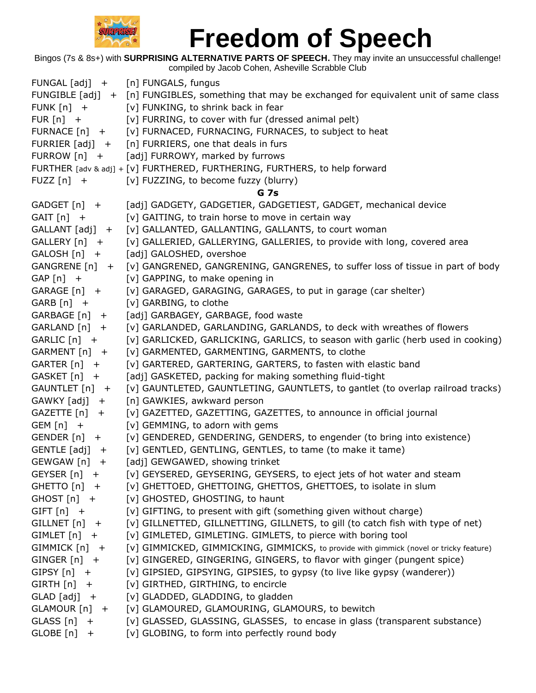

|                    | FUNGAL [adj] + [n] FUNGALS, fungus                                                                |
|--------------------|---------------------------------------------------------------------------------------------------|
|                    | FUNGIBLE [adj] + [n] FUNGIBLES, something that may be exchanged for equivalent unit of same class |
| FUNK $[n]$ +       | [v] FUNKING, to shrink back in fear                                                               |
| $FUR[n]$ +         | [v] FURRING, to cover with fur (dressed animal pelt)                                              |
| FURNACE $[n]$ +    | [v] FURNACED, FURNACING, FURNACES, to subject to heat                                             |
| FURRIER $[adj]$ +  | [n] FURRIERS, one that deals in furs                                                              |
| FURROW [n] +       | [adj] FURROWY, marked by furrows                                                                  |
|                    | FURTHER [adv & adj] + [v] FURTHERED, FURTHERING, FURTHERS, to help forward                        |
| FUZZ $[n]$ +       | [v] FUZZING, to become fuzzy (blurry)                                                             |
|                    | <b>G</b> 7s                                                                                       |
| $GADCFT[n] +$      | [adj] GADGETY, GADGETIER, GADGETIEST, GADGET, mechanical device                                   |
| $GAIT[n] +$        | [v] GAITING, to train horse to move in certain way                                                |
| $GALLANT [adj] +$  | [v] GALLANTED, GALLANTING, GALLANTS, to court woman                                               |
| GALLERY [n] +      | [v] GALLERIED, GALLERYING, GALLERIES, to provide with long, covered area                          |
| $GALOSH[n] +$      | [adj] GALOSHED, overshoe                                                                          |
| GANGRENE [n] +     | [v] GANGRENED, GANGRENING, GANGRENES, to suffer loss of tissue in part of body                    |
| $GAP[n]$ +         | [v] GAPPING, to make opening in                                                                   |
| GARAGE [n] +       | [v] GARAGED, GARAGING, GARAGES, to put in garage (car shelter)                                    |
| $GARB[n]$ +        | [v] GARBING, to clothe                                                                            |
| GARBAGE [n] +      | [adj] GARBAGEY, GARBAGE, food waste                                                               |
| $GARLAND[n] +$     | [v] GARLANDED, GARLANDING, GARLANDS, to deck with wreathes of flowers                             |
| GARLIC [n] +       | [v] GARLICKED, GARLICKING, GARLICS, to season with garlic (herb used in cooking)                  |
| GARMENT [n] +      | [v] GARMENTED, GARMENTING, GARMENTS, to clothe                                                    |
| $GARTER[n] +$      | [v] GARTERED, GARTERING, GARTERS, to fasten with elastic band                                     |
| GASKET [n] +       | [adj] GASKETED, packing for making something fluid-tight                                          |
| GAUNTLET [n] +     | [v] GAUNTLETED, GAUNTLETING, GAUNTLETS, to gantlet (to overlap railroad tracks)                   |
| GAWKY [adj] +      | [n] GAWKIES, awkward person                                                                       |
| $GAZETTE[n] +$     | [v] GAZETTED, GAZETTING, GAZETTES, to announce in official journal                                |
| $GEM[n]$ +         | [v] GEMMING, to adorn with gems                                                                   |
| $GENDER[n] +$      | [v] GENDERED, GENDERING, GENDERS, to engender (to bring into existence)                           |
| $GENTLE [adj] +$   | [v] GENTLED, GENTLING, GENTLES, to tame (to make it tame)                                         |
| GEWGAW [n]<br>$+$  | [adj] GEWGAWED, showing trinket                                                                   |
| GEYSER $[n]$ +     | [v] GEYSERED, GEYSERING, GEYSERS, to eject jets of hot water and steam                            |
| GHETTO $[n]$ +     | [v] GHETTOED, GHETTOING, GHETTOS, GHETTOES, to isolate in slum                                    |
| GHOST $[n]$ +      | [v] GHOSTED, GHOSTING, to haunt                                                                   |
| GIFT $[n]$ +       | [v] GIFTING, to present with gift (something given without charge)                                |
| $GILLNET[n] +$     | [v] GILLNETTED, GILLNETTING, GILLNETS, to gill (to catch fish with type of net)                   |
| $GIMLET[n] +$      | [v] GIMLETED, GIMLETING. GIMLETS, to pierce with boring tool                                      |
| $GIMMICK[n] +$     | [v] GIMMICKED, GIMMICKING, GIMMICKS, to provide with gimmick (novel or tricky feature)            |
| $GINGER[n] +$      | [v] GINGERED, GINGERING, GINGERS, to flavor with ginger (pungent spice)                           |
| GIPSY $[n]$ +      | [v] GIPSIED, GIPSYING, GIPSIES, to gypsy (to live like gypsy (wanderer))                          |
| $GIRTH[n]$ +       | [v] GIRTHED, GIRTHING, to encircle                                                                |
| $GLAD$ [adj] $+$   | [v] GLADDED, GLADDING, to gladden                                                                 |
| GLAMOUR [n]<br>$+$ | [v] GLAMOURED, GLAMOURING, GLAMOURS, to bewitch                                                   |
| GLASS [n]<br>$+$   | [v] GLASSED, GLASSING, GLASSES, to encase in glass (transparent substance)                        |
| GLOBE [n]<br>$+$   | [v] GLOBING, to form into perfectly round body                                                    |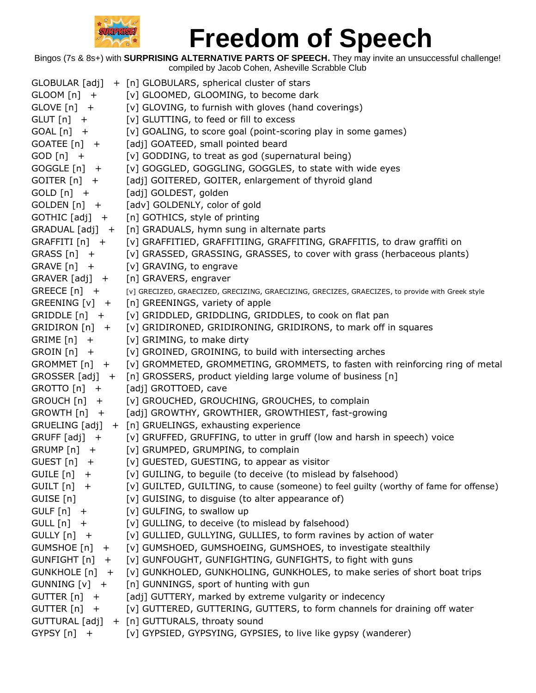

|                      | GLOBULAR [adj] + [n] GLOBULARS, spherical cluster of stars                                       |
|----------------------|--------------------------------------------------------------------------------------------------|
| $G$ LOOM $[n]$ +     | [v] GLOOMED, GLOOMING, to become dark                                                            |
| $GLOVE[n]$ +         | [v] GLOVING, to furnish with gloves (hand coverings)                                             |
| $GLUT[n]$ +          | [v] GLUTTING, to feed or fill to excess                                                          |
| $GOAL[n]$ +          | [v] GOALING, to score goal (point-scoring play in some games)                                    |
| GOATEE [n] +         | [adj] GOATEED, small pointed beard                                                               |
| $GOD [n] +$          | [v] GODDING, to treat as god (supernatural being)                                                |
| $GOGGLE[n] +$        | [v] GOGGLED, GOGGLING, GOGGLES, to state with wide eyes                                          |
| $GOITER[n] +$        | [adj] GOITERED, GOITER, enlargement of thyroid gland                                             |
| $GOLD[n]$ +          | [adj] GOLDEST, golden                                                                            |
| $GOLDEN[n]$ +        | [adv] GOLDENLY, color of gold                                                                    |
| GOTHIC [adj] +       | [n] GOTHICS, style of printing                                                                   |
|                      | GRADUAL [adj] + [n] GRADUALS, hymn sung in alternate parts                                       |
| GRAFFITI [n] +       | [v] GRAFFITIED, GRAFFITIING, GRAFFITING, GRAFFITIS, to draw graffiti on                          |
| $GRASS[n]$ +         | [v] GRASSED, GRASSING, GRASSES, to cover with grass (herbaceous plants)                          |
| $GRAVE[n] +$         | [v] GRAVING, to engrave                                                                          |
| GRAVER [adj] +       | [n] GRAVERS, engraver                                                                            |
| $GREECE[n] +$        | [v] GRECIZED, GRAECIZED, GRECIZING, GRAECIZING, GRECIZES, GRAECIZES, to provide with Greek style |
| $GREFNING[v] +$      | [n] GREENINGS, variety of apple                                                                  |
| $GRIDDLE[n]$ +       | [v] GRIDDLED, GRIDDLING, GRIDDLES, to cook on flat pan                                           |
| GRIDIRON [n] +       | [v] GRIDIRONED, GRIDIRONING, GRIDIRONS, to mark off in squares                                   |
| $GRIME[n] +$         | [v] GRIMING, to make dirty                                                                       |
| $GROIN[n]$ +         | [v] GROINED, GROINING, to build with intersecting arches                                         |
| GROMMET [n] +        | [v] GROMMETED, GROMMETING, GROMMETS, to fasten with reinforcing ring of metal                    |
|                      | GROSSER [adj] + [n] GROSSERS, product yielding large volume of business [n]                      |
| GROTTO [n] +         | [adj] GROTTOED, cave                                                                             |
| $GROUCH [n] +$       | [v] GROUCHED, GROUCHING, GROUCHES, to complain                                                   |
| GROWTH [n] +         | [adj] GROWTHY, GROWTHIER, GROWTHIEST, fast-growing                                               |
|                      | GRUELING [adj] + [n] GRUELINGS, exhausting experience                                            |
| $GRUFF [adj] +$      | [v] GRUFFED, GRUFFING, to utter in gruff (low and harsh in speech) voice                         |
| GRUMP [n] +          | [v] GRUMPED, GRUMPING, to complain                                                               |
| GUEST $[n]$ +        | [v] GUESTED, GUESTING, to appear as visitor                                                      |
| GUILE $[n]$ +        | [v] GUILING, to beguile (to deceive (to mislead by falsehood)                                    |
| $GUILT[n]$ +         | [v] GUILTED, GUILTING, to cause (someone) to feel guilty (worthy of fame for offense)            |
| GUISE [n]            | [v] GUISING, to disguise (to alter appearance of)                                                |
| GULF $[n]$ +         | [v] GULFING, to swallow up                                                                       |
| $GULL[n] +$          | [v] GULLING, to deceive (to mislead by falsehood)                                                |
| GULLY [n] +          | [v] GULLIED, GULLYING, GULLIES, to form ravines by action of water                               |
| $GUMSHOE[n] +$       | [v] GUMSHOED, GUMSHOEING, GUMSHOES, to investigate stealthily                                    |
| $GUNFIGHT[n] +$      | [v] GUNFOUGHT, GUNFIGHTING, GUNFIGHTS, to fight with guns                                        |
| GUNKHOLE [n] +       | [v] GUNKHOLED, GUNKHOLING, GUNKHOLES, to make series of short boat trips                         |
| GUNNING $[v]$ +      | [n] GUNNINGS, sport of hunting with gun                                                          |
| GUTTER $[n]$ +       | [adj] GUTTERY, marked by extreme vulgarity or indecency                                          |
| GUTTER [n]<br>$^{+}$ | [v] GUTTERED, GUTTERING, GUTTERS, to form channels for draining off water                        |
| GUTTURAL [adj]       | + [n] GUTTURALS, throaty sound                                                                   |
| GYPSY $[n]$ +        | [v] GYPSIED, GYPSYING, GYPSIES, to live like gypsy (wanderer)                                    |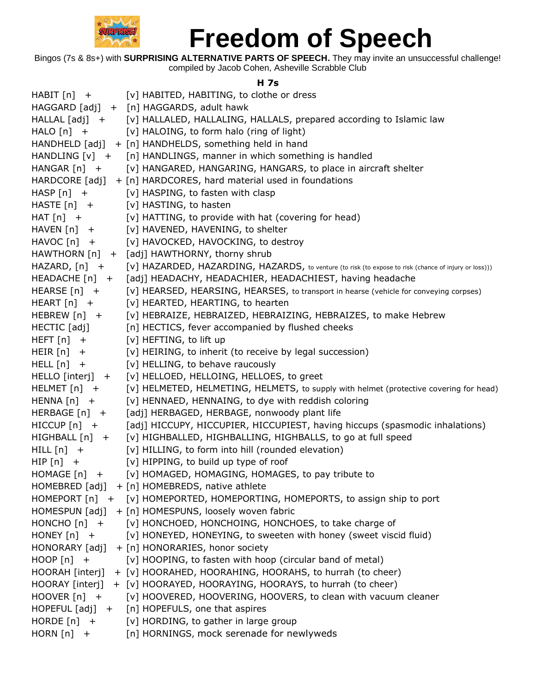

Bingos (7s & 8s+) with **SURPRISING ALTERNATIVE PARTS OF SPEECH.** They may invite an unsuccessful challenge! compiled by Jacob Cohen, Asheville Scrabble Club

#### **H 7s**

|                  | HABIT [n] + [v] HABITED, HABITING, to clothe or dress                                                 |
|------------------|-------------------------------------------------------------------------------------------------------|
|                  | HAGGARD [adj] + [n] HAGGARDS, adult hawk                                                              |
|                  | HALLAL [adj] + [v] HALLALED, HALLALING, HALLALS, prepared according to Islamic law                    |
| $HALO [n] +$     | [v] HALOING, to form halo (ring of light)                                                             |
|                  | HANDHELD [adj] + [n] HANDHELDS, something held in hand                                                |
|                  | HANDLING [v] + [n] HANDLINGS, manner in which something is handled                                    |
|                  | HANGAR [n] + [v] HANGARED, HANGARING, HANGARS, to place in aircraft shelter                           |
|                  | HARDCORE $[adj] + [n]$ HARDCORES, hard material used in foundations                                   |
| $HASP[n] +$      | [v] HASPING, to fasten with clasp                                                                     |
| $HASTE[n] +$     | [v] HASTING, to hasten                                                                                |
| $HAT[n]$ +       | [v] HATTING, to provide with hat (covering for head)                                                  |
| HAVEN [n] +      | [v] HAVENED, HAVENING, to shelter                                                                     |
| HAVOC [n] +      | [v] HAVOCKED, HAVOCKING, to destroy                                                                   |
|                  | HAWTHORN [n] + [adj] HAWTHORNY, thorny shrub                                                          |
| $HAZARD, [n] +$  | [V] HAZARDED, HAZARDING, HAZARDS, to venture (to risk (to expose to risk (chance of injury or loss))) |
|                  | HEADACHE [n] + [adj] HEADACHY, HEADACHIER, HEADACHIEST, having headache                               |
| $HEARSE[n] +$    | [v] HEARSED, HEARSING, HEARSES, to transport in hearse (vehicle for conveying corpses)                |
| $HEART[n] +$     | [v] HEARTED, HEARTING, to hearten                                                                     |
| $HEBREW[n] +$    | [v] HEBRAIZE, HEBRAIZED, HEBRAIZING, HEBRAIZES, to make Hebrew                                        |
| HECTIC [adj]     | [n] HECTICS, fever accompanied by flushed cheeks                                                      |
| $HEFT[n] +$      | [v] HEFTING, to lift up                                                                               |
| $HEIR[n] +$      | [v] HEIRING, to inherit (to receive by legal succession)                                              |
| $HELL[n] +$      | [v] HELLING, to behave raucously                                                                      |
| HELLO [interj] + | [v] HELLOED, HELLOING, HELLOES, to greet                                                              |
| $HELMET[n] +$    | [v] HELMETED, HELMETING, HELMETS, to supply with helmet (protective covering for head)                |
| $HENNA[n]$ +     | [v] HENNAED, HENNAING, to dye with reddish coloring                                                   |
| HERBAGE $[n]$ +  | [adj] HERBAGED, HERBAGE, nonwoody plant life                                                          |
| $HICCUP[n]$ +    | [adj] HICCUPY, HICCUPIER, HICCUPIEST, having hiccups (spasmodic inhalations)                          |
| HIGHBALL [n] +   | [v] HIGHBALLED, HIGHBALLING, HIGHBALLS, to go at full speed                                           |
| $HILL[n] +$      | [v] HILLING, to form into hill (rounded elevation)                                                    |
| $HIP[n]$ +       | [v] HIPPING, to build up type of roof                                                                 |
| HOMAGE [n] +     | [v] HOMAGED, HOMAGING, HOMAGES, to pay tribute to                                                     |
|                  | HOMEBRED $[adj] + [n]$ HOMEBREDS, native athlete                                                      |
|                  | HOMEPORT [n] + [v] HOMEPORTED, HOMEPORTING, HOMEPORTS, to assign ship to port                         |
|                  | HOMESPUN [adj] + [n] HOMESPUNS, loosely woven fabric                                                  |
| $HONCHO [n] +$   | [v] HONCHOED, HONCHOING, HONCHOES, to take charge of                                                  |
| $HONEY[n] +$     | [v] HONEYED, HONEYING, to sweeten with honey (sweet viscid fluid)                                     |
| HONORARY [adj]   | + [n] HONORARIES, honor society                                                                       |
| $HOOP[n]$ +      | [v] HOOPING, to fasten with hoop (circular band of metal)                                             |
| HOORAH [interj]  | + [v] HOORAHED, HOORAHING, HOORAHS, to hurrah (to cheer)                                              |
|                  | HOORAY [interj] + [v] HOORAYED, HOORAYING, HOORAYS, to hurrah (to cheer)                              |
| $HOOVER[n] +$    | [v] HOOVERED, HOOVERING, HOOVERS, to clean with vacuum cleaner                                        |
|                  | HOPEFUL [adj] + [n] HOPEFULS, one that aspires                                                        |
| HORDE $[n]$ +    | [v] HORDING, to gather in large group                                                                 |
| HORN $[n]$ +     | [n] HORNINGS, mock serenade for newlyweds                                                             |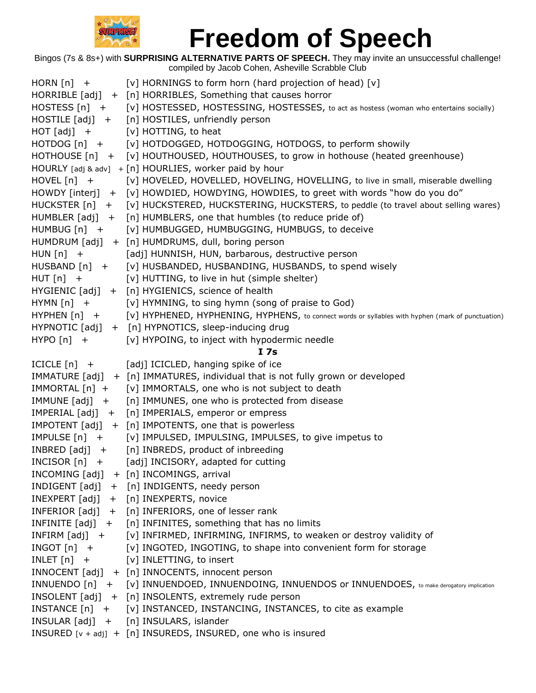

| [V] HOSTESSED, HOSTESSING, HOSTESSES, to act as hostess (woman who entertains socially)             |
|-----------------------------------------------------------------------------------------------------|
|                                                                                                     |
|                                                                                                     |
|                                                                                                     |
| HOTHOUSE [n] + [v] HOUTHOUSED, HOUTHOUSES, to grow in hothouse (heated greenhouse)                  |
|                                                                                                     |
| [v] HOVELED, HOVELLED, HOVELING, HOVELLING, to live in small, miserable dwelling                    |
| HOWDY [interj] + [v] HOWDIED, HOWDYING, HOWDIES, to greet with words "how do you do"                |
| HUCKSTER [n] + [v] HUCKSTERED, HUCKSTERING, HUCKSTERS, to peddle (to travel about selling wares)    |
|                                                                                                     |
|                                                                                                     |
|                                                                                                     |
|                                                                                                     |
|                                                                                                     |
|                                                                                                     |
|                                                                                                     |
|                                                                                                     |
| [V] HYPHENED, HYPHENING, HYPHENS, to connect words or syllables with hyphen (mark of punctuation)   |
|                                                                                                     |
|                                                                                                     |
|                                                                                                     |
|                                                                                                     |
|                                                                                                     |
|                                                                                                     |
|                                                                                                     |
|                                                                                                     |
|                                                                                                     |
|                                                                                                     |
|                                                                                                     |
|                                                                                                     |
|                                                                                                     |
|                                                                                                     |
|                                                                                                     |
|                                                                                                     |
|                                                                                                     |
|                                                                                                     |
| INFIRM [adj] + [v] INFIRMED, INFIRMING, INFIRMS, to weaken or destroy validity of                   |
| [v] INGOTED, INGOTING, to shape into convenient form for storage                                    |
|                                                                                                     |
|                                                                                                     |
| INNUENDO [n] + [v] INNUENDOED, INNUENDOING, INNUENDOS or INNUENDOES, to make derogatory implication |
|                                                                                                     |
|                                                                                                     |
|                                                                                                     |
|                                                                                                     |